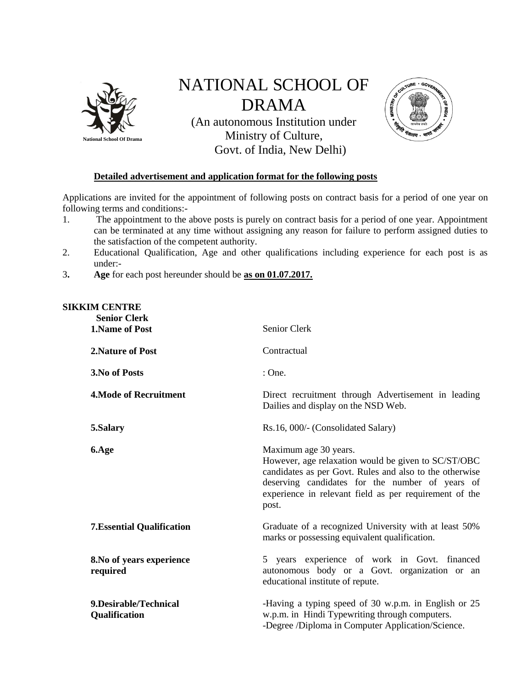

## NATIONAL SCHOOL OF DRAMA

(An autonomous Institution under Ministry of Culture, Govt. of India, New Delhi)



## **Detailed advertisement and application format for the following posts**

Applications are invited for the appointment of following posts on contract basis for a period of one year on following terms and conditions:-

- 1. The appointment to the above posts is purely on contract basis for a period of one year. Appointment can be terminated at any time without assigning any reason for failure to perform assigned duties to the satisfaction of the competent authority.
- 2. Educational Qualification, Age and other qualifications including experience for each post is as under:-
- 3**. Age** for each post hereunder should be **as on 01.07.2017.**

## **SIKKIM CENTRE**

| <b>Senior Clerk</b><br><b>1.Name of Post</b> | Senior Clerk                                                                                                                                                                                                                                                  |
|----------------------------------------------|---------------------------------------------------------------------------------------------------------------------------------------------------------------------------------------------------------------------------------------------------------------|
| 2. Nature of Post                            | Contractual                                                                                                                                                                                                                                                   |
| 3. No of Posts                               | : One.                                                                                                                                                                                                                                                        |
| 4. Mode of Recruitment                       | Direct recruitment through Advertisement in leading<br>Dailies and display on the NSD Web.                                                                                                                                                                    |
| 5.Salary                                     | Rs.16, 000/- (Consolidated Salary)                                                                                                                                                                                                                            |
| 6.Age                                        | Maximum age 30 years.<br>However, age relaxation would be given to SC/ST/OBC<br>candidates as per Govt. Rules and also to the otherwise<br>deserving candidates for the number of years of<br>experience in relevant field as per requirement of the<br>post. |
| <b>7. Essential Qualification</b>            | Graduate of a recognized University with at least 50%<br>marks or possessing equivalent qualification.                                                                                                                                                        |
| 8. No of years experience<br>required        | 5 years experience of work in Govt. financed<br>autonomous body or a Govt. organization or an<br>educational institute of repute.                                                                                                                             |
| 9. Desirable/Technical<br>Qualification      | -Having a typing speed of 30 w.p.m. in English or 25<br>w.p.m. in Hindi Typewriting through computers.<br>-Degree /Diploma in Computer Application/Science.                                                                                                   |